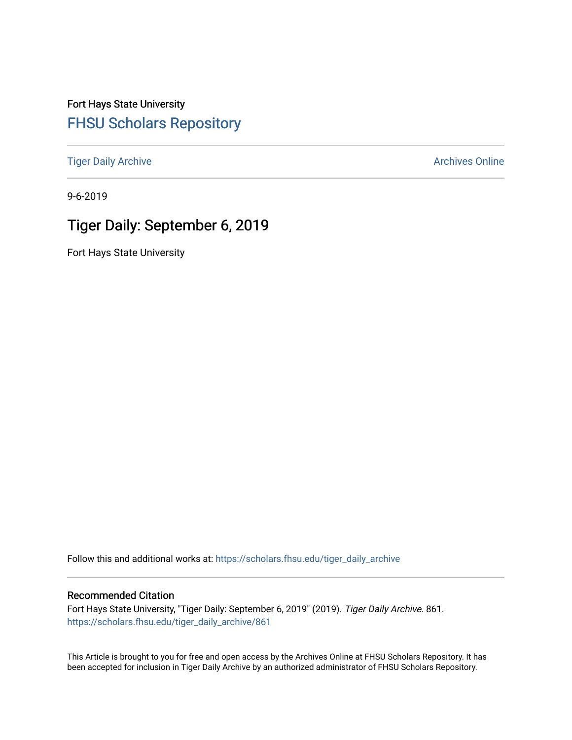Fort Hays State University [FHSU Scholars Repository](https://scholars.fhsu.edu/) 

[Tiger Daily Archive](https://scholars.fhsu.edu/tiger_daily_archive) **Archives** Online Archives Online

9-6-2019

# Tiger Daily: September 6, 2019

Fort Hays State University

Follow this and additional works at: [https://scholars.fhsu.edu/tiger\\_daily\\_archive](https://scholars.fhsu.edu/tiger_daily_archive?utm_source=scholars.fhsu.edu%2Ftiger_daily_archive%2F861&utm_medium=PDF&utm_campaign=PDFCoverPages)

#### Recommended Citation

Fort Hays State University, "Tiger Daily: September 6, 2019" (2019). Tiger Daily Archive. 861. [https://scholars.fhsu.edu/tiger\\_daily\\_archive/861](https://scholars.fhsu.edu/tiger_daily_archive/861?utm_source=scholars.fhsu.edu%2Ftiger_daily_archive%2F861&utm_medium=PDF&utm_campaign=PDFCoverPages)

This Article is brought to you for free and open access by the Archives Online at FHSU Scholars Repository. It has been accepted for inclusion in Tiger Daily Archive by an authorized administrator of FHSU Scholars Repository.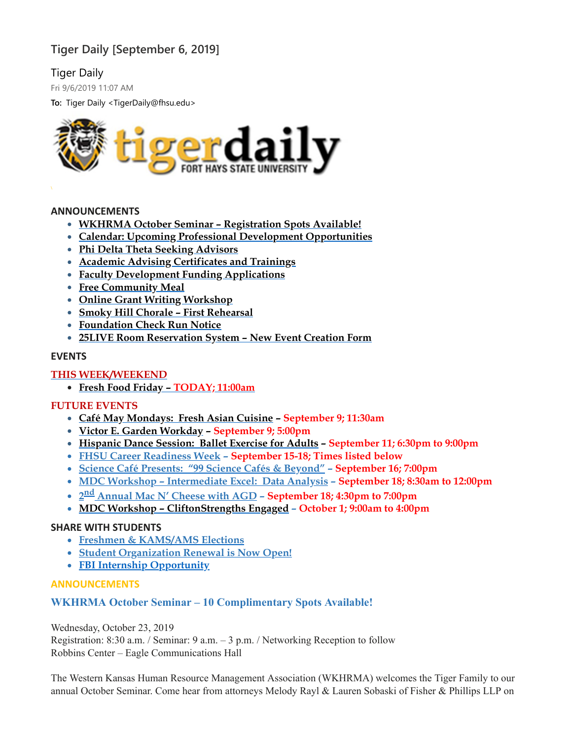## **Tiger Daily [September 6, 2019]**

## Tiger Daily

Fri 9/6/2019 11:07 AM

**To:** Tiger Daily <TigerDaily@fhsu.edu>



#### **ANNOUNCEMENTS**

- **WKHRMA October Seminar – [Registration](#page-1-0) Spots Available!**
- **Calendar: Upcoming Professional Development [Opportunities](#page-2-0)**
- **Phi Delta Theta Seeking [Advisors](#page-2-1)**
- **Academic Advising [Certificates](#page-2-2) and Trainings**
- **Faculty [Development](#page-3-0) Funding Applications**
- **Free [Community](#page-4-0) Meal**
- **Online Grant Writing [Workshop](#page-4-1)**
- **Smoky Hill Chorale – First [Rehearsal](#page-4-2)**
- **[Foundation](#page-4-3) Check Run Notice**
- **25LIVE Room [Reservation](#page-5-0) System – New Event Creation Form**

#### **EVENTS**

#### **THIS WEEK/WEEKEND**

**Fresh Food [Friday](#page-5-1) – TODAY; 11:00am**

## **FUTURE EVENTS**

- **Café May [Mondays:](#page-5-2) Fresh Asian Cuisine – September 9; 11:30am**
- **Victor E. Garden [Workday](#page-6-0) – September 9; 5:00pm**
- **[Hispanic](#page-6-1) Dance Session: Ballet Exercise for Adults – September 11; 6:30pm to 9:00pm**
- **FHSU Career [Readiness](#page-6-2) Week – September 15-18; Times listed below**
- **Science Café [Presents:](#page-7-0) "99 Science Cafés & Beyond" – September 16; 7:00pm**
- **MDC Workshop – [Intermediate](#page-7-1) Excel: Data Analysis – September 18; 8:30am to 12:00pm**
- **2 nd [Annual](#page-8-0) Mac N' Cheese with AGD – September 18; 4:30pm to 7:00pm**
- **MDC Workshop – [CliftonStrengths](#page-8-1) Engaged – October 1; 9:00am to 4:00pm**

#### **SHARE WITH STUDENTS**

- **Freshmen & [KAMS/AMS](#page-8-2) Elections**
- **Student [Organization](#page-9-0) Renewal is Now Open!**
- <span id="page-1-0"></span>**FBI Internship [Opportunity](#page-9-1)**

#### **ANNOUNCEMENTS**

## **WKHRMA October Seminar – 10 Complimentary Spots Available!**

Wednesday, October 23, 2019

Registration: 8:30 a.m. / Seminar: 9 a.m. – 3 p.m. / Networking Reception to follow Robbins Center – Eagle Communications Hall

The Western Kansas Human Resource Management Association (WKHRMA) welcomes the Tiger Family to our annual October Seminar. Come hear from attorneys Melody Rayl & Lauren Sobaski of Fisher & Phillips LLP on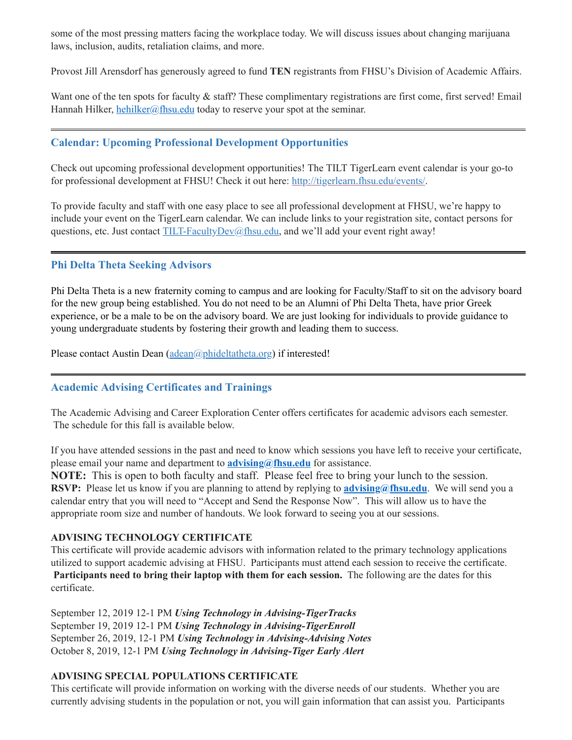some of the most pressing matters facing the workplace today. We will discuss issues about changing marijuana laws, inclusion, audits, retaliation claims, and more.

Provost Jill Arensdorf has generously agreed to fund **TEN** registrants from FHSU's Division of Academic Affairs.

Want one of the ten spots for faculty & staff? These complimentary registrations are first come, first served! Email Hannah Hilker, [hehilker@fhsu.edu](mailto:hehilker@fhsu.edu) today to reserve your spot at the seminar.

## <span id="page-2-0"></span>**Calendar: Upcoming Professional Development Opportunities**

Check out upcoming professional development opportunities! The TILT TigerLearn event calendar is your go-to for professional development at FHSU! Check it out here: [http://tigerlearn.fhsu.edu/events/.](http://tigerlearn.fhsu.edu/events/)

To provide faculty and staff with one easy place to see all professional development at FHSU, we're happy to include your event on the TigerLearn calendar. We can include links to your registration site, contact persons for questions, etc. Just contact [TILT-FacultyDev@fhsu.edu,](mailto:TILT-FacultyDev@fhsu.edu) and we'll add your event right away!

#### <span id="page-2-1"></span>**Phi Delta Theta Seeking Advisors**

Phi Delta Theta is a new fraternity coming to campus and are looking for Faculty/Staff to sit on the advisory board for the new group being established. You do not need to be an Alumni of Phi Delta Theta, have prior Greek experience, or be a male to be on the advisory board. We are just looking for individuals to provide guidance to young undergraduate students by fostering their growth and leading them to success.

Please contact Austin Dean [\(adean@phideltatheta.org\)](mailto:adean@phideltatheta.org) if interested!

#### <span id="page-2-2"></span>**Academic Advising Certificates and Trainings**

The Academic Advising and Career Exploration Center offers certificates for academic advisors each semester. The schedule for this fall is available below.

If you have attended sessions in the past and need to know which sessions you have left to receive your certificate, please email your name and department to **[advising@fhsu.edu](mailto:advising@fhsu.edu)** for assistance.

**NOTE:** This is open to both faculty and staff. Please feel free to bring your lunch to the session. **RSVP:** Please let us know if you are planning to attend by replying to **[advising@fhsu.edu](mailto:advising@fhsu.edu)**. We will send you a calendar entry that you will need to "Accept and Send the Response Now". This will allow us to have the appropriate room size and number of handouts. We look forward to seeing you at our sessions.

#### **ADVISING TECHNOLOGY CERTIFICATE**

This certificate will provide academic advisors with information related to the primary technology applications utilized to support academic advising at FHSU. Participants must attend each session to receive the certificate. **Participants need to bring their laptop with them for each session.** The following are the dates for this certificate.

September 12, 2019 12-1 PM *Using Technology in Advising-TigerTracks* September 19, 2019 12-1 PM *Using Technology in Advising-TigerEnroll* September 26, 2019, 12-1 PM *Using Technology in Advising-Advising Notes* October 8, 2019, 12-1 PM *Using Technology in Advising-Tiger Early Alert*

#### **ADVISING SPECIAL POPULATIONS CERTIFICATE**

This certificate will provide information on working with the diverse needs of our students. Whether you are currently advising students in the population or not, you will gain information that can assist you. Participants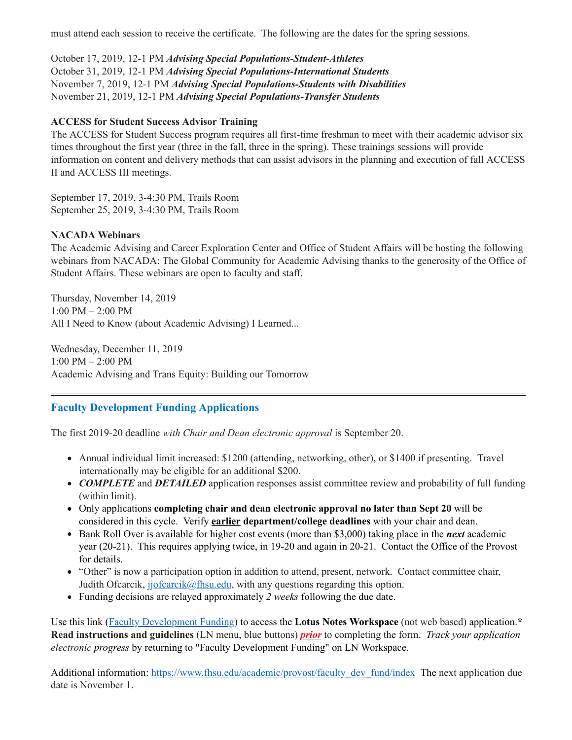must attend each session to receive the certificate. The following are the dates for the spring sessions.

October 17, 2019, 12-1 PM *Advising Special Populations-Student-Athletes* October 31, 2019, 12-1 PM *Advising Special Populations-International Students* November 7, 2019, 12-1 PM *Advising Special Populations-Students with Disabilities* November 21, 2019, 12-1 PM *Advising Special Populations-Transfer Students*

#### **ACCESS for Student Success Advisor Training**

The ACCESS for Student Success program requires all first-time freshman to meet with their academic advisor six times throughout the first year (three in the fall, three in the spring). These trainings sessions will provide information on content and delivery methods that can assist advisors in the planning and execution of fall ACCESS II and ACCESS III meetings.

September 17, 2019, 3-4:30 PM, Trails Room September 25, 2019, 3-4:30 PM, Trails Room

#### **NACADA Webinars**

The Academic Advising and Career Exploration Center and Office of Student Affairs will be hosting the following webinars from NACADA: The Global Community for Academic Advising thanks to the generosity of the Office of Student Affairs. These webinars are open to faculty and staff.

Thursday, November 14, 2019 1:00 PM – 2:00 PM All I Need to Know (about Academic Advising) I Learned...

Wednesday, December 11, 2019 1:00 PM – 2:00 PM Academic Advising and Trans Equity: Building our Tomorrow

## **Faculty Development Funding Applications**

The first 2019-20 deadline *with Chair and Dean electronic approval* is September 20.

- <span id="page-3-0"></span>Annual individual limit increased: \$1200 (attending, networking, other), or \$1400 if presenting. Travel internationally may be eligible for an additional \$200.
- **COMPLETE** and **DETAILED** application responses assist committee review and probability of full funding (within limit).
- Only applications **completing chair and dean electronic approval no later than Sept 20** will be considered in this cycle. Verify **earlier department/college deadlines** with your chair and dean.
- Bank Roll Over is available for higher cost events (more than \$3,000) taking place in the *next* academic year (20-21). This requires applying twice, in 19-20 and again in 20-21. Contact the Office of the Provost for details.
- "Other" is now a participation option in addition to attend, present, network. Contact committee chair, Judith Ofcarcik,  $jjofcarcik@fhsu.edu$ , with any questions regarding this option.
- Funding decisions are relayed approximately *2 weeks* following the due date.

Use this link (Faculty [Development](notes://LNapps/86257474006926D5) Funding) to access the **Lotus Notes Workspace** (not web based) application.**\* Read instructions and guidelines** (LN menu, blue buttons) *prior* to completing the form. *Track your application electronic progress* by returning to "Faculty Development Funding" on LN Workspace.

Additional information: [https://www.fhsu.edu/academic/provost/faculty\\_dev\\_fund/index](https://www.fhsu.edu/academic/provost/faculty_dev_fund/index) The next application due date is November 1.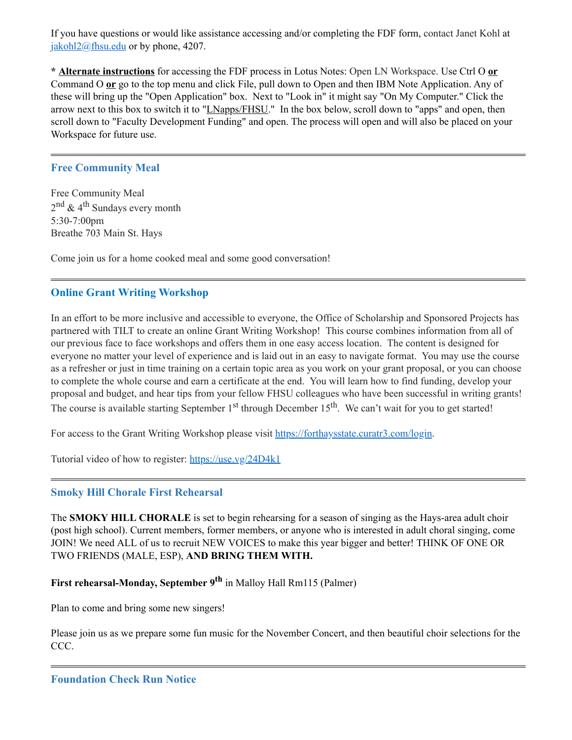If you have questions or would like assistance accessing and/or completing the FDF form, contact Janet Kohl at [jakohl2@fhsu.edu](mailto:jakohl2@fhsu.edu) or by phone, 4207.

**\* Alternate instructions** for accessing the FDF process in Lotus Notes: Open LN Workspace. Use Ctrl O **or** Command O **or** go to the top menu and click File, pull down to Open and then IBM Note Application. Any of these will bring up the "Open Application" box. Next to "Look in" it might say "On My Computer." Click the arrow next to this box to switch it to "*LNapps/FHSU*." In the box below, scroll down to "apps" and open, then scroll down to "Faculty Development Funding" and open. The process will open and will also be placed on your Workspace for future use.

## <span id="page-4-0"></span>**Free Community Meal**

Free Community Meal 2<sup>nd</sup> & 4<sup>th</sup> Sundays every month 5:30-7:00pm Breathe 703 Main St. Hays

Come join us for a home cooked meal and some good conversation!

## <span id="page-4-1"></span>**Online Grant Writing Workshop**

In an effort to be more inclusive and accessible to everyone, the Office of Scholarship and Sponsored Projects has partnered with TILT to create an online Grant Writing Workshop! This course combines information from all of our previous face to face workshops and offers them in one easy access location. The content is designed for everyone no matter your level of experience and is laid out in an easy to navigate format. You may use the course as a refresher or just in time training on a certain topic area as you work on your grant proposal, or you can choose to complete the whole course and earn a certificate at the end. You will learn how to find funding, develop your proposal and budget, and hear tips from your fellow FHSU colleagues who have been successful in writing grants! The course is available starting September 1<sup>st</sup> through December 15<sup>th</sup>. We can't wait for you to get started!

For access to the Grant Writing Workshop please visit [https://forthaysstate.curatr3.com/login.](https://forthaysstate.curatr3.com/login)

Tutorial video of how to register: <https://use.vg/24D4k1>

#### <span id="page-4-2"></span>**Smoky Hill Chorale First Rehearsal**

The **SMOKY HILL CHORALE** is set to begin rehearsing for a season of singing as the Hays-area adult choir (post high school). Current members, former members, or anyone who is interested in adult choral singing, come JOIN! We need ALL of us to recruit NEW VOICES to make this year bigger and better! THINK OF ONE OR TWO FRIENDS (MALE, ESP), **AND BRING THEM WITH.**

## **First rehearsal-Monday, September 9 th** in Malloy Hall Rm115 (Palmer)

Plan to come and bring some new singers!

<span id="page-4-3"></span>Please join us as we prepare some fun music for the November Concert, and then beautiful choir selections for the CCC.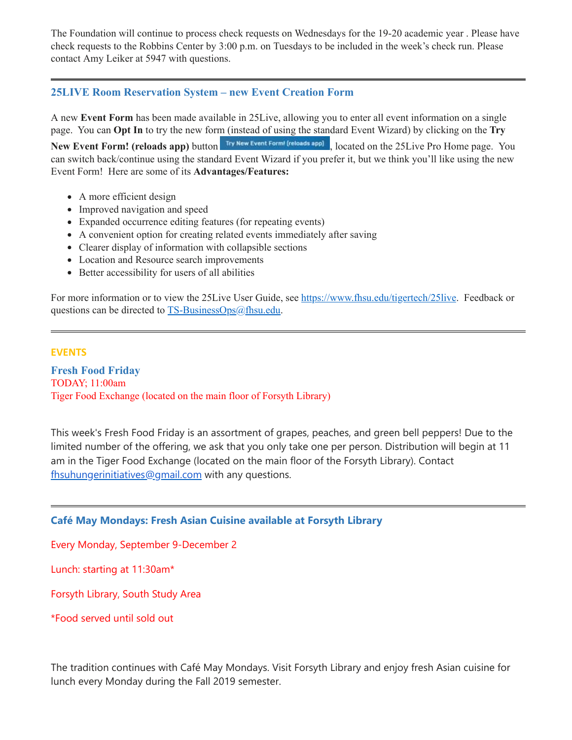The Foundation will continue to process check requests on Wednesdays for the 19-20 academic year . Please have check requests to the Robbins Center by 3:00 p.m. on Tuesdays to be included in the week's check run. Please contact Amy Leiker at 5947 with questions.

## <span id="page-5-0"></span>**25LIVE Room Reservation System – new Event Creation Form**

A new **Event Form** has been made available in 25Live, allowing you to enter all event information on a single page. You can **Opt In** to try the new form (instead of using the standard Event Wizard) by clicking on the **Try** New Event Form! (reloads app) button Try New Event Form! (reloads app), located on the 25Live Pro Home page. You can switch back/continue using the standard Event Wizard if you prefer it, but we think you'll like using the new Event Form! Here are some of its **Advantages/Features:**

- A more efficient design
- Improved navigation and speed
- Expanded occurrence editing features (for repeating events)
- A convenient option for creating related events immediately after saving
- Clearer display of information with collapsible sections
- Location and Resource search improvements
- Better accessibility for users of all abilities

For more information or to view the 25Live User Guide, see [https://www.fhsu.edu/tigertech/25live.](https://www.fhsu.edu/tigertech/25live) Feedback or questions can be directed to [TS-BusinessOps@fhsu.edu.](mailto:TS-BusinessOps@fhsu.edu)

## **EVENTS**

<span id="page-5-1"></span>**Fresh Food Friday** TODAY; 11:00am Tiger Food Exchange (located on the main floor of Forsyth Library)

This week's Fresh Food Friday is an assortment of grapes, peaches, and green bell peppers! Due to the limited number of the offering, we ask that you only take one per person. Distribution will begin at 11 am in the Tiger Food Exchange (located on the main floor of the Forsyth Library). Contact [fhsuhungerinitiatives@gmail.com](mailto:fhsuhungerinitiatives@gmail.com) with any questions.

## <span id="page-5-2"></span>**Café May Mondays: Fresh Asian Cuisine available at Forsyth Library**

Every Monday, September 9-December 2

Lunch: starting at 11:30am\*

Forsyth Library, South Study Area

\*Food served until sold out

The tradition continues with Café May Mondays. Visit Forsyth Library and enjoy fresh Asian cuisine for lunch every Monday during the Fall 2019 semester.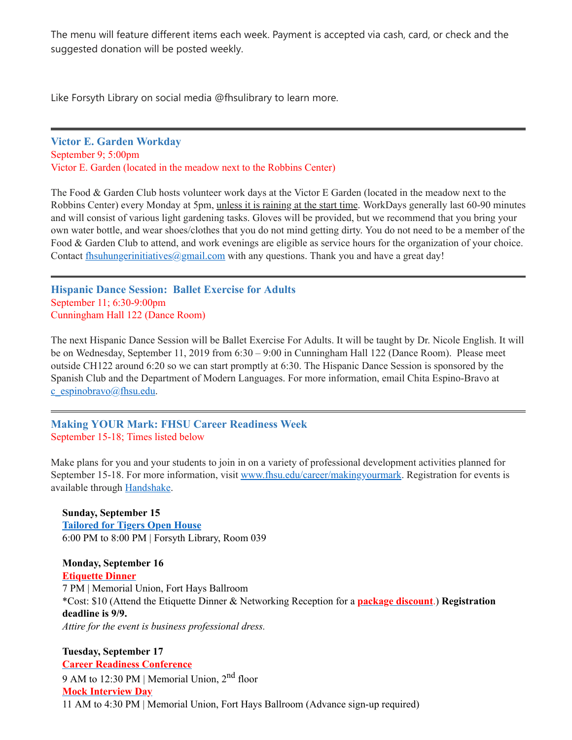The menu will feature different items each week. Payment is accepted via cash, card, or check and the suggested donation will be posted weekly.

Like Forsyth Library on social media @fhsulibrary to learn more.

<span id="page-6-0"></span>**Victor E. Garden Workday** September 9; 5:00pm Victor E. Garden (located in the meadow next to the Robbins Center)

The Food & Garden Club hosts volunteer work days at the Victor E Garden (located in the meadow next to the Robbins Center) every Monday at 5pm, unless it is raining at the start time. WorkDays generally last 60-90 minutes and will consist of various light gardening tasks. Gloves will be provided, but we recommend that you bring your own water bottle, and wear shoes/clothes that you do not mind getting dirty. You do not need to be a member of the Food & Garden Club to attend, and work evenings are eligible as service hours for the organization of your choice. Contact  $\frac{\text{fhsubungerinitatives}(a\text{gmail.com})}{\text{gmaplim}(\text{gap} + \text{homb})}$  with any questions. Thank you and have a great day!

<span id="page-6-1"></span>**Hispanic Dance Session: Ballet Exercise for Adults** September 11; 6:30-9:00pm Cunningham Hall 122 (Dance Room)

The next Hispanic Dance Session will be Ballet Exercise For Adults. It will be taught by Dr. Nicole English. It will be on Wednesday, September 11, 2019 from 6:30 – 9:00 in Cunningham Hall 122 (Dance Room). Please meet outside CH122 around 6:20 so we can start promptly at 6:30. The Hispanic Dance Session is sponsored by the Spanish Club and the Department of Modern Languages. For more information, email Chita Espino-Bravo at  $c$  espinobravo@fhsu.edu.

<span id="page-6-2"></span>**Making YOUR Mark: FHSU Career Readiness Week** September 15-18; Times listed below

Make plans for you and your students to join in on a variety of professional development activities planned for September 15-18. For more information, visit [www.fhsu.edu/career/makingyourmark.](http://www.fhsu.edu/career/makingyourmark) Registration for events is available through [Handshake.](https://fhsu.joinhandshake.com/login)

**Sunday, September 15 [Tailored](https://fhsu.joinhandshake.com/events/316471/share_preview) for Tigers Open House** 6:00 PM to 8:00 PM | Forsyth Library, Room 039

**Monday, September 16 [Etiquette](https://fhsu.joinhandshake.com/events/324687/share_preview) Dinner** 7 PM | Memorial Union, Fort Hays Ballroom \*Cost: \$10 (Attend the Etiquette Dinner & Networking Reception for a **package [discount](https://fhsu.joinhandshake.com/events/324702/share_preview)**.) **Registration deadline is 9/9.** *Attire for the event is business professional dress.*

**Tuesday, September 17 Career Readiness [Conference](https://fhsu.joinhandshake.com/events/323674/share_preview)** 9 AM to 12:30 PM | Memorial Union, 2<sup>nd</sup> floor **Mock [Interview](https://fhsu.joinhandshake.com/jobs/2908242/share_preview) Day** 11 AM to 4:30 PM | Memorial Union, Fort Hays Ballroom (Advance sign-up required)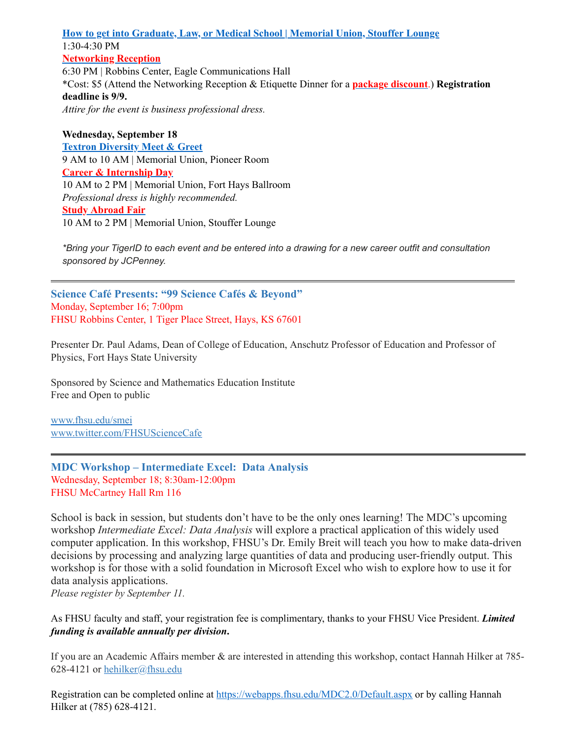**How to get into [Graduate,](https://fhsu.joinhandshake.com/events/330263/share_preview) Law, or Medical School | Memorial Union, Stouffer Lounge** 1:30-4:30 PM **[Networking](https://fhsu.joinhandshake.com/events/324701/share_preview) Reception** 6:30 PM | Robbins Center, Eagle Communications Hall \*Cost: \$5 (Attend the Networking Reception & Etiquette Dinner for a **package [discount](https://fhsu.joinhandshake.com/events/324702/share_preview)**.) **Registration deadline is 9/9.**

*Attire for the event is business professional dress.*

#### **Wednesday, September 18**

**Textron [Diversity](https://fhsu.joinhandshake.com/events/325966/share_preview) Meet & Greet** 9 AM to 10 AM | Memorial Union, Pioneer Room **Career & [Internship](https://fhsu.joinhandshake.com/career_fairs/11008/student_preview) Day** 10 AM to 2 PM | Memorial Union, Fort Hays Ballroom *Professional dress is highly recommended.* **Study [Abroad](https://fhsu.joinhandshake.com/events/323587/share_preview) Fair** 10 AM to 2 PM | Memorial Union, Stouffer Lounge

<span id="page-7-0"></span>\*Bring your TigerID to each event and be entered into a drawing for a new career outfit and consultation *sponsored by JCPenney.*

**Science Café Presents: "99 Science Cafés & Beyond"** Monday, September 16; 7:00pm FHSU Robbins Center, 1 Tiger Place Street, Hays, KS 67601

Presenter Dr. Paul Adams, Dean of College of Education, Anschutz Professor of Education and Professor of Physics, Fort Hays State University

Sponsored by Science and Mathematics Education Institute Free and Open to public

[www.fhsu.edu/smei](http://www.fhsu.edu/smei) [www.twitter.com/FHSUScienceCafe](http://www.twitter.com/FHSUScienceCafe)

<span id="page-7-1"></span>**MDC Workshop – Intermediate Excel: Data Analysis** Wednesday, September 18; 8:30am-12:00pm FHSU McCartney Hall Rm 116

School is back in session, but students don't have to be the only ones learning! The MDC's upcoming workshop *Intermediate Excel: Data Analysis* will explore a practical application of this widely used computer application. In this workshop, FHSU's Dr. Emily Breit will teach you how to make data-driven decisions by processing and analyzing large quantities of data and producing user-friendly output. This workshop is for those with a solid foundation in Microsoft Excel who wish to explore how to use it for data analysis applications.

*Please register by September 11.*

As FHSU faculty and staff, your registration fee is complimentary, thanks to your FHSU Vice President. *Limited funding is available annually per division***.**

If you are an Academic Affairs member & are interested in attending this workshop, contact Hannah Hilker at 785 628-4121 or [hehilker@fhsu.edu](mailto:hehilker@fhsu.edu)

Registration can be completed online at <https://webapps.fhsu.edu/MDC2.0/Default.aspx> or by calling Hannah Hilker at (785) 628-4121.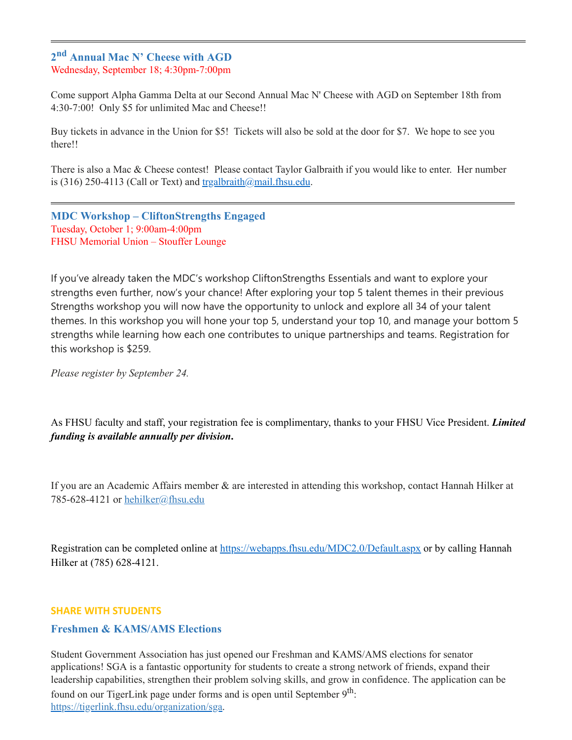## <span id="page-8-0"></span>**2 nd Annual Mac N' Cheese with AGD** Wednesday, September 18; 4:30pm-7:00pm

Come support Alpha Gamma Delta at our Second Annual Mac N' Cheese with AGD on September 18th from 4:30-7:00! Only \$5 for unlimited Mac and Cheese!!

Buy tickets in advance in the Union for \$5! Tickets will also be sold at the door for \$7. We hope to see you there!!

There is also a Mac & Cheese contest! Please contact Taylor Galbraith if you would like to enter. Her number is (316) 250-4113 (Call or Text) and  $tragalbraith@mail.fhsu.edu.$ 

<span id="page-8-1"></span>**MDC Workshop – CliftonStrengths Engaged** Tuesday, October 1; 9:00am-4:00pm FHSU Memorial Union – Stouffer Lounge

If you've already taken the MDC's workshop CliftonStrengths Essentials and want to explore your strengths even further, now's your chance! After exploring your top 5 talent themes in their previous Strengths workshop you will now have the opportunity to unlock and explore all 34 of your talent themes. In this workshop you will hone your top 5, understand your top 10, and manage your bottom 5 strengths while learning how each one contributes to unique partnerships and teams. Registration for this workshop is \$259.

*Please register by September 24.*

As FHSU faculty and staff, your registration fee is complimentary, thanks to your FHSU Vice President. *Limited funding is available annually per division***.**

If you are an Academic Affairs member & are interested in attending this workshop, contact Hannah Hilker at 785-628-4121 or [hehilker@fhsu.edu](mailto:hehilker@fhsu.edu)

Registration can be completed online at <https://webapps.fhsu.edu/MDC2.0/Default.aspx>or by calling Hannah Hilker at (785) 628-4121.

#### **SHARE WITH STUDENTS**

#### <span id="page-8-2"></span>**Freshmen & KAMS/AMS Elections**

Student Government Association has just opened our Freshman and KAMS/AMS elections for senator applications! SGA is a fantastic opportunity for students to create a strong network of friends, expand their leadership capabilities, strengthen their problem solving skills, and grow in confidence. The application can be found on our TigerLink page under forms and is open until September 9<sup>th</sup>: <https://tigerlink.fhsu.edu/organization/sga>.